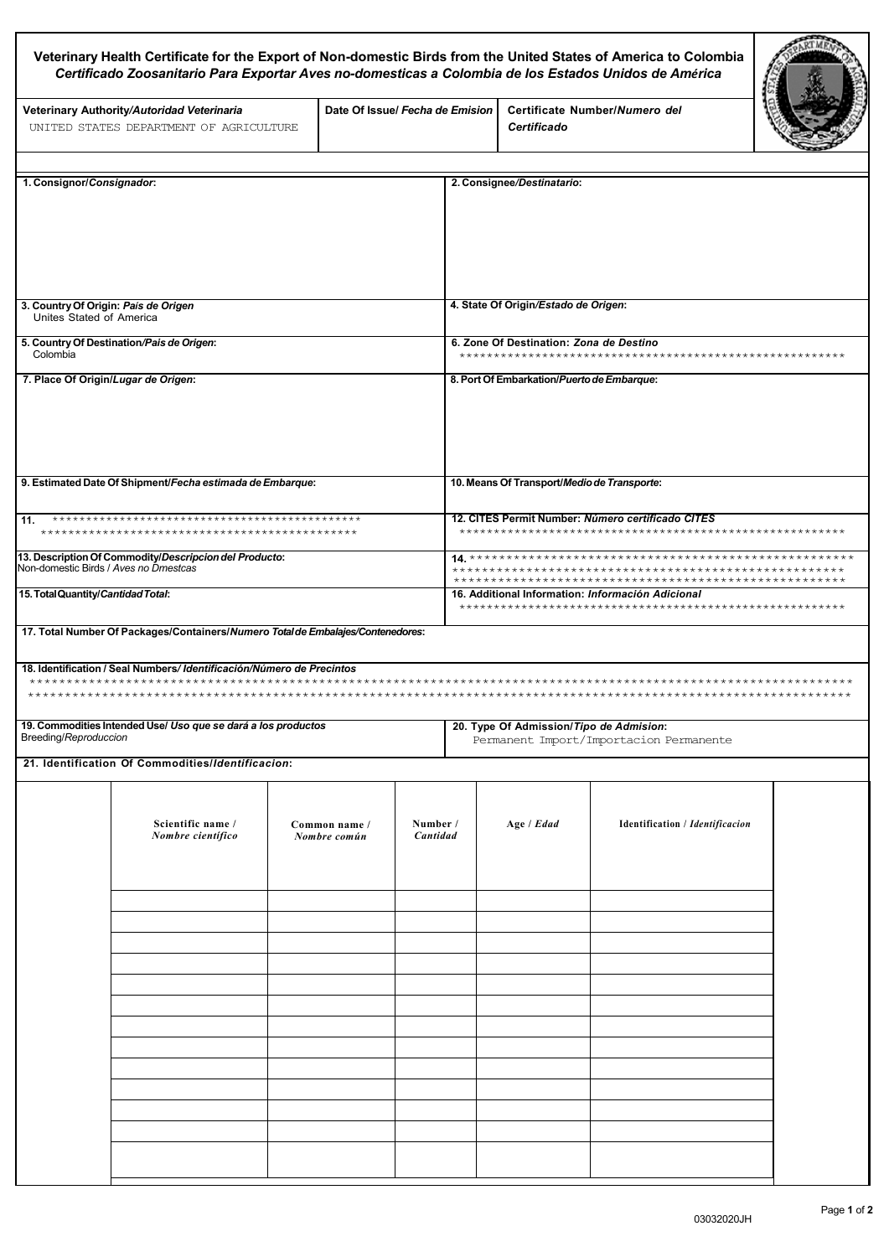| Veterinary Health Certificate for the Export of Non-domestic Birds from the United States of America to Colombia<br>Certificado Zoosanitario Para Exportar Aves no-domesticas a Colombia de los Estados Unidos de América |                                                                                                                                                  |                               |                                 |                      |                                                                                         |                                        |  |  |
|---------------------------------------------------------------------------------------------------------------------------------------------------------------------------------------------------------------------------|--------------------------------------------------------------------------------------------------------------------------------------------------|-------------------------------|---------------------------------|----------------------|-----------------------------------------------------------------------------------------|----------------------------------------|--|--|
|                                                                                                                                                                                                                           | Veterinary Authority/Autoridad Veterinaria<br>UNITED STATES DEPARTMENT OF AGRICULTURE                                                            |                               | Date Of Issue/ Fecha de Emision |                      | <b>Certificado</b>                                                                      | Certificate Number/Numero del          |  |  |
|                                                                                                                                                                                                                           |                                                                                                                                                  |                               |                                 |                      |                                                                                         |                                        |  |  |
| 1. Consignor/Consignador:                                                                                                                                                                                                 |                                                                                                                                                  |                               |                                 |                      | 2. Consignee/Destinatario:                                                              |                                        |  |  |
| 3. Country Of Origin: País de Origen<br>Unites Stated of America                                                                                                                                                          |                                                                                                                                                  |                               |                                 |                      | 4. State Of Origin/Estado de Origen:                                                    |                                        |  |  |
| 5. Country Of Destination/Pais de Origen:<br>Colombia                                                                                                                                                                     |                                                                                                                                                  |                               |                                 |                      | 6. Zone Of Destination: Zona de Destino                                                 |                                        |  |  |
| 7. Place Of Origin/Lugar de Origen:                                                                                                                                                                                       |                                                                                                                                                  |                               |                                 |                      | 8. Port Of Embarkation/Puerto de Embarque:                                              |                                        |  |  |
| 9. Estimated Date Of Shipment/Fecha estimada de Embarque:                                                                                                                                                                 |                                                                                                                                                  |                               |                                 |                      | 10. Means Of Transport/Medio de Transporte:                                             |                                        |  |  |
| 11.                                                                                                                                                                                                                       |                                                                                                                                                  |                               |                                 |                      | 12. CITES Permit Number: Número certificado CITES                                       |                                        |  |  |
|                                                                                                                                                                                                                           | 13. Description Of Commodity/Descripcion del Producto:<br>Non-domestic Birds / Aves no Dmestcas                                                  |                               |                                 |                      |                                                                                         |                                        |  |  |
| 15. Total Quantity/Cantidad Total:                                                                                                                                                                                        |                                                                                                                                                  |                               |                                 |                      | 16. Additional Information: Información Adicional<br>********************************** |                                        |  |  |
|                                                                                                                                                                                                                           | 17. Total Number Of Packages/Containers/Numero Total de Embalajes/Contenedores:                                                                  |                               |                                 |                      |                                                                                         |                                        |  |  |
|                                                                                                                                                                                                                           | 18. Identification / Seal Numbers/ Identificación/Número de Precintos<br>***********************************<br>******************************** |                               |                                 |                      |                                                                                         |                                        |  |  |
| Breeding/Reproduccion                                                                                                                                                                                                     | 19. Commodities Intended Use/ Uso que se dará a los productos                                                                                    |                               |                                 |                      | 20. Type Of Admission/Tipo de Admision:<br>Permanent Import/Importacion Permanente      |                                        |  |  |
|                                                                                                                                                                                                                           | 21. Identification Of Commodities/Identificacion:                                                                                                |                               |                                 |                      |                                                                                         |                                        |  |  |
|                                                                                                                                                                                                                           | Scientific name /<br>Nombre científico                                                                                                           | Common name /<br>Nombre común |                                 | Number /<br>Cantidad | Age / Edad                                                                              | <b>Identification / Identificacion</b> |  |  |
|                                                                                                                                                                                                                           |                                                                                                                                                  |                               |                                 |                      |                                                                                         |                                        |  |  |
|                                                                                                                                                                                                                           |                                                                                                                                                  |                               |                                 |                      |                                                                                         |                                        |  |  |
|                                                                                                                                                                                                                           |                                                                                                                                                  |                               |                                 |                      |                                                                                         |                                        |  |  |
|                                                                                                                                                                                                                           |                                                                                                                                                  |                               |                                 |                      |                                                                                         |                                        |  |  |
|                                                                                                                                                                                                                           |                                                                                                                                                  |                               |                                 |                      |                                                                                         |                                        |  |  |

Г